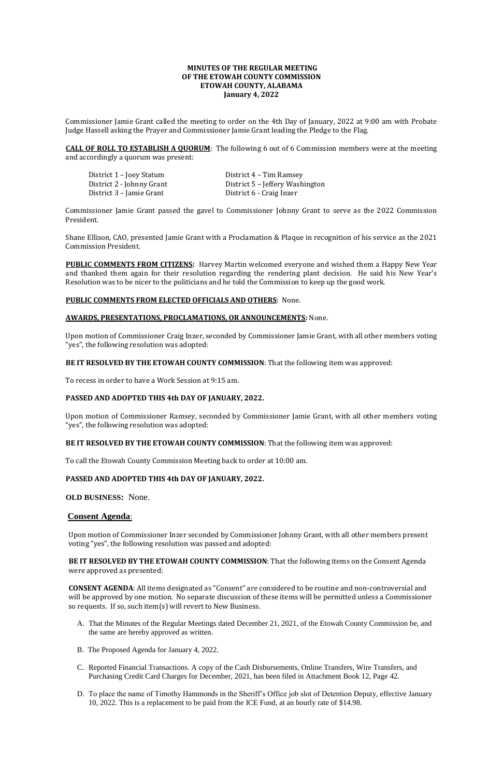# **MINUTES OF THE REGULAR MEETING OF THE ETOWAH COUNTY COMMISSION ETOWAH COUNTY, ALABAMA January 4, 2022**

Commissioner Jamie Grant called the meeting to order on the 4th Day of January, 2022 at 9:00 am with Probate Judge Hassell asking the Prayer and Commissioner Jamie Grant leading the Pledge to the Flag.

District 1 – Joey Statum District 4 – Tim Ramsey District 3 – Jamie Grant District 6 - Craig Inzer

District 2 - Johnny Grant District 5 - Jeffery Washington

**CALL OF ROLL TO ESTABLISH A QUORUM**: The following 6 out of 6 Commission members were at the meeting and accordingly a quorum was present:

Commissioner Jamie Grant passed the gavel to Commissioner Johnny Grant to serve as the 2022 Commission President.

Shane Ellison, CAO, presented Jamie Grant with a Proclamation & Plaque in recognition of his service as the 2021 Commission President.

**PUBLIC COMMENTS FROM CITIZENS:** Harvey Martin welcomed everyone and wished them a Happy New Year and thanked them again for their resolution regarding the rendering plant decision. He said his New Year's Resolution was to be nicer to the politicians and he told the Commission to keep up the good work.

### **PUBLIC COMMENTS FROM ELECTED OFFICIALS AND OTHERS**: None.

#### **AWARDS, PRESENTATIONS, PROCLAMATIONS, OR ANNOUNCEMENTS:** None.

Upon motion of Commissioner Craig Inzer, seconded by Commissioner Jamie Grant, with all other members voting "yes", the following resolution was adopted:

### **BE IT RESOLVED BY THE ETOWAH COUNTY COMMISSION**: That the following item was approved:

To recess in order to have a Work Session at 9:15 am.

### **PASSED AND ADOPTED THIS 4th DAY OF JANUARY, 2022.**

Upon motion of Commissioner Ramsey, seconded by Commissioner Jamie Grant, with all other members voting "yes", the following resolution was adopted:

#### **BE IT RESOLVED BY THE ETOWAH COUNTY COMMISSION**: That the following item was approved:

To call the Etowah County Commission Meeting back to order at 10:00 am.

### **PASSED AND ADOPTED THIS 4th DAY OF JANUARY, 2022.**

**OLD BUSINESS:** None.

### **Consent Agenda**:

Upon motion of Commissioner Inzer seconded by Commissioner Johnny Grant, with all other members present voting "yes", the following resolution was passed and adopted:

# **BE IT RESOLVED BY THE ETOWAH COUNTY COMMISSION**: That the following items on the Consent Agenda were approved as presented:

**CONSENT AGENDA**: All items designated as "Consent" are considered to be routine and non-controversial and will be approved by one motion. No separate discussion of these items will be permitted unless a Commissioner so requests. If so, such item(s) will revert to New Business.

- A. That the Minutes of the Regular Meetings dated December 21, 2021, of the Etowah County Commission be, and the same are hereby approved as written.
- B. The Proposed Agenda for January 4, 2022.
- C. Reported Financial Transactions. A copy of the Cash Disbursements, Online Transfers, Wire Transfers, and Purchasing Credit Card Charges for December, 2021, has been filed in Attachment Book 12, Page 42.
- D. To place the name of Timothy Hammonds in the Sheriff's Office job slot of Detention Deputy, effective January 10, 2022. This is a replacement to be paid from the ICE Fund, at an hourly rate of \$14.98.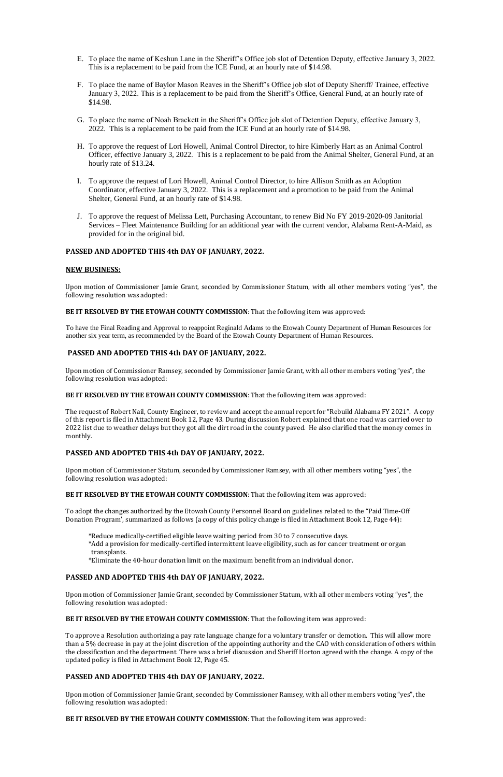- E. To place the name of Keshun Lane in the Sheriff's Office job slot of Detention Deputy, effective January 3, 2022. This is a replacement to be paid from the ICE Fund, at an hourly rate of \$14.98.
- F. To place the name of Baylor Mason Reaves in the Sheriff's Office job slot of Deputy Sheriff/ Trainee, effective January 3, 2022. This is a replacement to be paid from the Sheriff's Office, General Fund, at an hourly rate of \$14.98.
- G. To place the name of Noah Brackett in the Sheriff's Office job slot of Detention Deputy, effective January 3, 2022. This is a replacement to be paid from the ICE Fund at an hourly rate of \$14.98.
- H. To approve the request of Lori Howell, Animal Control Director, to hire Kimberly Hart as an Animal Control Officer, effective January 3, 2022. This is a replacement to be paid from the Animal Shelter, General Fund, at an hourly rate of \$13.24.
- I. To approve the request of Lori Howell, Animal Control Director, to hire Allison Smith as an Adoption Coordinator, effective January 3, 2022. This is a replacement and a promotion to be paid from the Animal Shelter, General Fund, at an hourly rate of \$14.98.
- J. To approve the request of Melissa Lett, Purchasing Accountant, to renew Bid No FY 2019-2020-09 Janitorial Services – Fleet Maintenance Building for an additional year with the current vendor, Alabama Rent-A-Maid, as provided for in the original bid.

### **PASSED AND ADOPTED THIS 4th DAY OF JANUARY, 2022.**

#### **NEW BUSINESS:**

Upon motion of Commissioner Jamie Grant, seconded by Commissioner Statum, with all other members voting "yes", the following resolution was adopted:

### **BE IT RESOLVED BY THE ETOWAH COUNTY COMMISSION**: That the following item was approved:

To have the Final Reading and Approval to reappoint Reginald Adams to the Etowah County Department of Human Resources for another six year term, as recommended by the Board of the Etowah County Department of Human Resources.

### **PASSED AND ADOPTED THIS 4th DAY OF JANUARY, 2022.**

Upon motion of Commissioner Ramsey, seconded by Commissioner Jamie Grant, with all other members voting "yes", the following resolution was adopted:

#### **BE IT RESOLVED BY THE ETOWAH COUNTY COMMISSION**: That the following item was approved:

The request of Robert Nail, County Engineer, to review and accept the annual report for "Rebuild Alabama FY 2021". A copy of this report is filed in Attachment Book 12, Page 43. During discussion Robert explained that one road was carried over to 2022 list due to weather delays but they got all the dirt road in the county paved. He also clarified that the money comes in monthly.

### **PASSED AND ADOPTED THIS 4th DAY OF JANUARY, 2022.**

Upon motion of Commissioner Statum, seconded by Commissioner Ramsey, with all other members voting "yes", the following resolution was adopted:

#### **BE IT RESOLVED BY THE ETOWAH COUNTY COMMISSION**: That the following item was approved:

To adopt the changes authorized by the Etowah County Personnel Board on guidelines related to the "Paid Time-Off Donation Program', summarized as follows (a copy of this policy change is filed in Attachment Book 12, Page 44):

- \*Reduce medically-certified eligible leave waiting period from 30 to 7 consecutive days.
- \*Add a provision for medically-certified intermittent leave eligibility, such as for cancer treatment or organ transplants.
- \*Eliminate the 40-hour donation limit on the maximum benefit from an individual donor.

# **PASSED AND ADOPTED THIS 4th DAY OF JANUARY, 2022.**

Upon motion of Commissioner Jamie Grant, seconded by Commissioner Statum, with all other members voting "yes", the following resolution was adopted:

### **BE IT RESOLVED BY THE ETOWAH COUNTY COMMISSION**: That the following item was approved:

To approve a Resolution authorizing a pay rate language change for a voluntary transfer or demotion. This will allow more than a 5% decrease in pay at the joint discretion of the appointing authority and the CAO with consideration of others within the classification and the department. There was a brief discussion and Sheriff Horton agreed with the change. A copy of the updated policy is filed in Attachment Book 12, Page 45.

# **PASSED AND ADOPTED THIS 4th DAY OF JANUARY, 2022.**

Upon motion of Commissioner Jamie Grant, seconded by Commissioner Ramsey, with all other members voting "yes", the following resolution was adopted:

**BE IT RESOLVED BY THE ETOWAH COUNTY COMMISSION**: That the following item was approved: